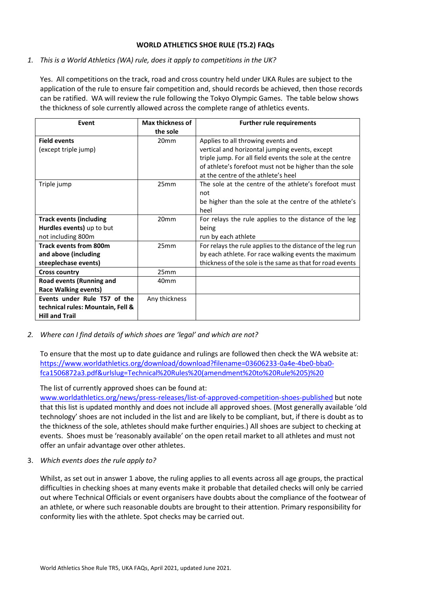#### **WORLD ATHLETICS SHOE RULE (T5.2) FAQs**

# *1. This is a World Athletics (WA) rule, does it apply to competitions in the UK?*

Yes. All competitions on the track, road and cross country held under UKA Rules are subject to the application of the rule to ensure fair competition and, should records be achieved, then those records can be ratified. WA will review the rule following the Tokyo Olympic Games. The table below shows the thickness of sole currently allowed across the complete range of athletics events.

| Event                             | <b>Max thickness of</b> | <b>Further rule requirements</b>                           |
|-----------------------------------|-------------------------|------------------------------------------------------------|
|                                   | the sole                |                                                            |
| <b>Field events</b>               | 20 <sub>mm</sub>        | Applies to all throwing events and                         |
| (except triple jump)              |                         | vertical and horizontal jumping events, except             |
|                                   |                         | triple jump. For all field events the sole at the centre   |
|                                   |                         | of athlete's forefoot must not be higher than the sole     |
|                                   |                         | at the centre of the athlete's heel                        |
| Triple jump                       | 25mm                    | The sole at the centre of the athlete's forefoot must      |
|                                   |                         | not                                                        |
|                                   |                         | be higher than the sole at the centre of the athlete's     |
|                                   |                         | heel                                                       |
| <b>Track events (including</b>    | 20 <sub>mm</sub>        | For relays the rule applies to the distance of the leg     |
| Hurdles events) up to but         |                         | being                                                      |
| not including 800m                |                         | run by each athlete                                        |
| <b>Track events from 800m</b>     | 25mm                    | For relays the rule applies to the distance of the leg run |
| and above (including              |                         | by each athlete. For race walking events the maximum       |
| steeplechase events)              |                         | thickness of the sole is the same as that for road events  |
| <b>Cross country</b>              | 25mm                    |                                                            |
| Road events (Running and          | 40mm                    |                                                            |
| Race Walking events)              |                         |                                                            |
| Events under Rule T57 of the      | Any thickness           |                                                            |
| technical rules: Mountain, Fell & |                         |                                                            |
| <b>Hill and Trail</b>             |                         |                                                            |

## *2. Where can I find details of which shoes are 'legal' and which are not?*

To ensure that the most up to date guidance and rulings are followed then check the WA website at: [https://www.worldathletics.org/download/download?filename=03606233-0a4e-4be0-bba0](https://www.worldathletics.org/download/download?filename=03606233-0a4e-4be0-bba0-fca1506872a3.pdf&urlslug=Technical%20Rules%20(amendment%20to%20Rule%205)%20) [fca1506872a3.pdf&urlslug=Technical%20Rules%20\(amendment%20to%20Rule%205\)%20](https://www.worldathletics.org/download/download?filename=03606233-0a4e-4be0-bba0-fca1506872a3.pdf&urlslug=Technical%20Rules%20(amendment%20to%20Rule%205)%20)

## The list of currently approved shoes can be found at:

[www.worldathletics.org/news/press-releases/list-of-approved-competition-shoes-published](http://www.worldathletics.org/news/press-releases/list-of-approved-competition-shoes-published) but note that this list is updated monthly and does not include all approved shoes. (Most generally available 'old technology' shoes are not included in the list and are likely to be compliant, but, if there is doubt as to the thickness of the sole, athletes should make further enquiries.) All shoes are subject to checking at events. Shoes must be 'reasonably available' on the open retail market to all athletes and must not offer an unfair advantage over other athletes.

3. *Which events does the rule apply to?*

Whilst, as set out in answer 1 above, the ruling applies to all events across all age groups, the practical difficulties in checking shoes at many events make it probable that detailed checks will only be carried out where Technical Officials or event organisers have doubts about the compliance of the footwear of an athlete, or where such reasonable doubts are brought to their attention. Primary responsibility for conformity lies with the athlete. Spot checks may be carried out.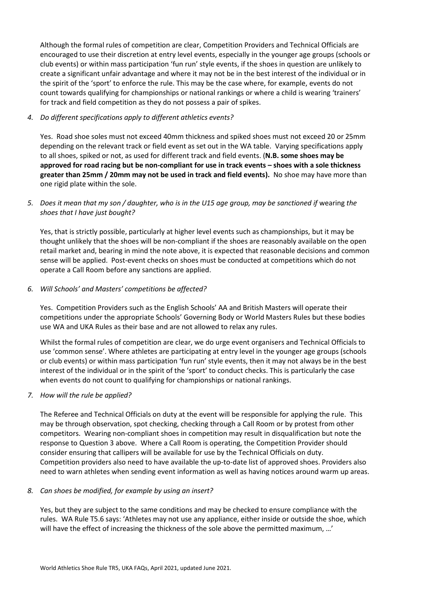Although the formal rules of competition are clear, Competition Providers and Technical Officials are encouraged to use their discretion at entry level events, especially in the younger age groups (schools or club events) or within mass participation 'fun run' style events, if the shoes in question are unlikely to create a significant unfair advantage and where it may not be in the best interest of the individual or in the spirit of the 'sport' to enforce the rule. This may be the case where, for example, events do not count towards qualifying for championships or national rankings or where a child is wearing 'trainers' for track and field competition as they do not possess a pair of spikes.

### *4. Do different specifications apply to different athletics events?*

Yes. Road shoe soles must not exceed 40mm thickness and spiked shoes must not exceed 20 or 25mm depending on the relevant track or field event as set out in the WA table. Varying specifications apply to all shoes, spiked or not, as used for different track and field events. (**N.B. some shoes may be approved for road racing but be non-compliant for use in track events – shoes with a sole thickness greater than 25mm / 20mm may not be used in track and field events).** No shoe may have more than one rigid plate within the sole.

## *5. Does it mean that my son / daughter, who is in the U15 age group, may be sanctioned if* wearing *the shoes that I have just bought?*

Yes, that is strictly possible, particularly at higher level events such as championships, but it may be thought unlikely that the shoes will be non-compliant if the shoes are reasonably available on the open retail market and, bearing in mind the note above, it is expected that reasonable decisions and common sense will be applied. Post-event checks on shoes must be conducted at competitions which do not operate a Call Room before any sanctions are applied.

### *6. Will Schools' and Masters' competitions be affected?*

Yes. Competition Providers such as the English Schools' AA and British Masters will operate their competitions under the appropriate Schools' Governing Body or World Masters Rules but these bodies use WA and UKA Rules as their base and are not allowed to relax any rules.

Whilst the formal rules of competition are clear, we do urge event organisers and Technical Officials to use 'common sense'. Where athletes are participating at entry level in the younger age groups (schools or club events) or within mass participation 'fun run' style events, then it may not always be in the best interest of the individual or in the spirit of the 'sport' to conduct checks. This is particularly the case when events do not count to qualifying for championships or national rankings.

## *7. How will the rule be applied?*

The Referee and Technical Officials on duty at the event will be responsible for applying the rule. This may be through observation, spot checking, checking through a Call Room or by protest from other competitors. Wearing non-compliant shoes in competition may result in disqualification but note the response to Question 3 above. Where a Call Room is operating, the Competition Provider should consider ensuring that callipers will be available for use by the Technical Officials on duty. Competition providers also need to have available the up-to-date list of approved shoes. Providers also need to warn athletes when sending event information as well as having notices around warm up areas.

#### *8. Can shoes be modified, for example by using an insert?*

Yes, but they are subject to the same conditions and may be checked to ensure compliance with the rules. WA Rule T5.6 says: 'Athletes may not use any appliance, either inside or outside the shoe, which will have the effect of increasing the thickness of the sole above the permitted maximum, …'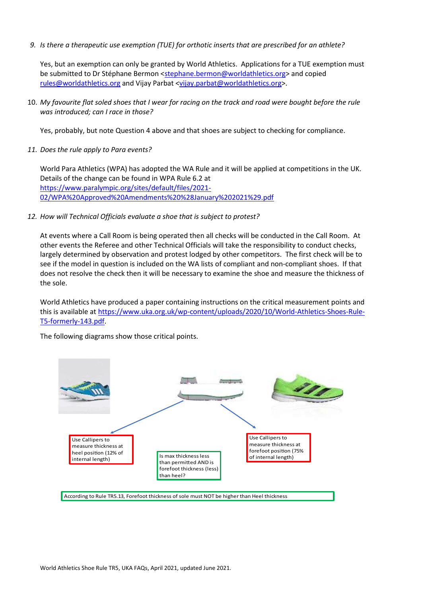*9. Is there a therapeutic use exemption (TUE) for orthotic inserts that are prescribed for an athlete?*

Yes, but an exemption can only be granted by World Athletics. Applications for a TUE exemption must be submitted to Dr Stéphane Bermon [<stephane.bermon@worldathletics.org>](mailto:stephane.bermon@worldathletics.org) and copied [rules@worldathletics.org](mailto:rules@worldathletics.org) and Vijay Parbat [<vijay.parbat@worldathletics.org>](mailto:vijay.parbat@worldathletics.org).

10. *My favourite flat soled shoes that I wear for racing on the track and road were bought before the rule was introduced; can I race in those?*

Yes, probably, but note Question 4 above and that shoes are subject to checking for compliance.

*11. Does the rule apply to Para events?*

World Para Athletics (WPA) has adopted the WA Rule and it will be applied at competitions in the UK. Details of the change can be found in WPA Rule 6.2 at [https://www.paralympic.org/sites/default/files/2021-](https://www.paralympic.org/sites/default/files/2021-02/WPA%20Approved%20Amendments%20%28January%202021%29.pdf) [02/WPA%20Approved%20Amendments%20%28January%202021%29.pdf](https://www.paralympic.org/sites/default/files/2021-02/WPA%20Approved%20Amendments%20%28January%202021%29.pdf)

*12. How will Technical Officials evaluate a shoe that is subject to protest?*

At events where a Call Room is being operated then all checks will be conducted in the Call Room. At other events the Referee and other Technical Officials will take the responsibility to conduct checks, largely determined by observation and protest lodged by other competitors. The first check will be to see if the model in question is included on the WA lists of compliant and non-compliant shoes. If that does not resolve the check then it will be necessary to examine the shoe and measure the thickness of the sole.

World Athletics have produced a paper containing instructions on the critical measurement points and this is available at [https://www.uka.org.uk/wp-content/uploads/2020/10/World-Athletics-Shoes-Rule-](https://www.uka.org.uk/wp-content/uploads/2020/10/World-Athletics-Shoes-Rule-T5-formerly-143.pdf)[T5-formerly-143.pdf.](https://www.uka.org.uk/wp-content/uploads/2020/10/World-Athletics-Shoes-Rule-T5-formerly-143.pdf)

The following diagrams show those critical points.